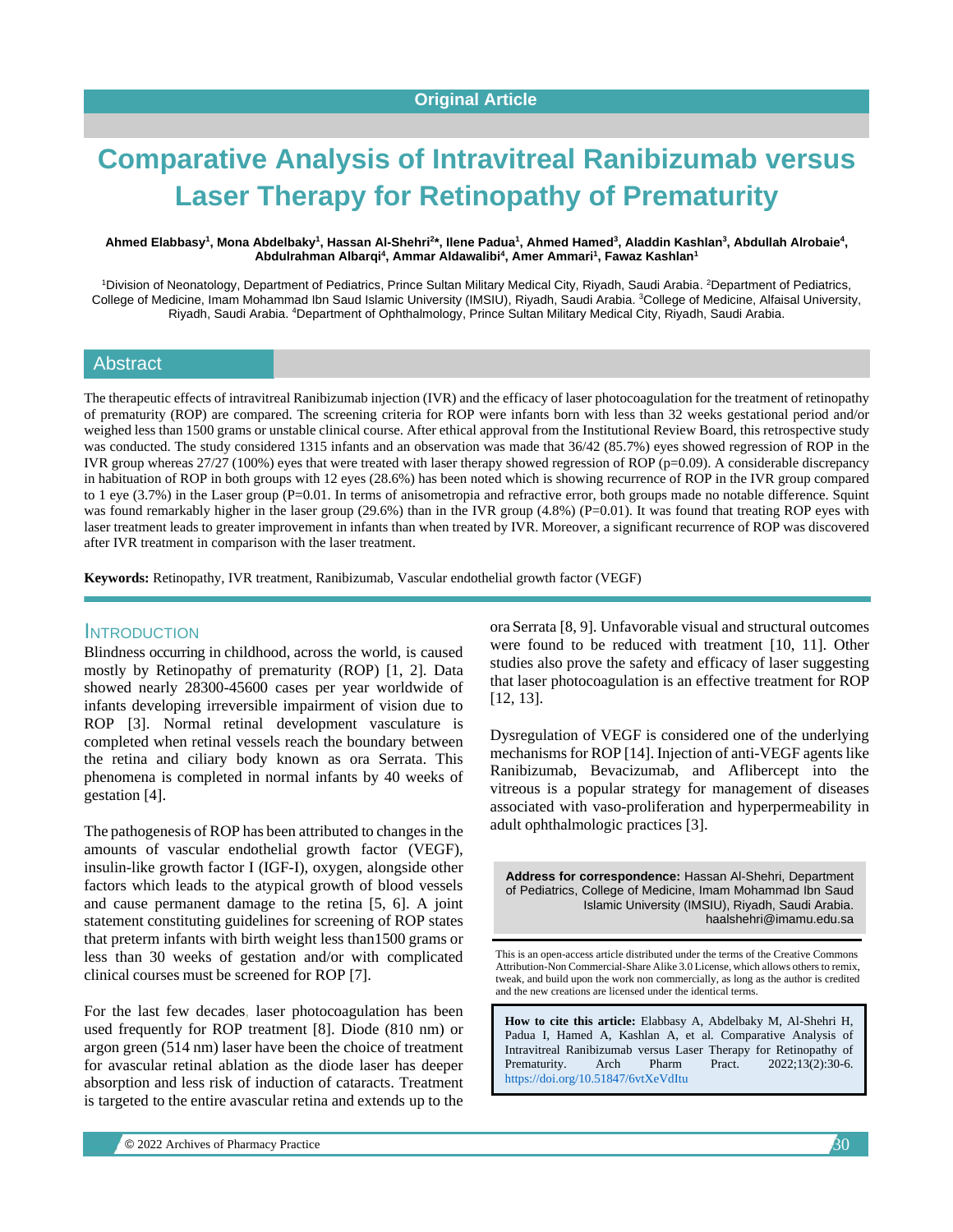# **Comparative Analysis of Intravitreal Ranibizumab versus Laser Therapy for Retinopathy of Prematurity**

#### Ahmed Elabbasy<sup>1</sup>, Mona Abdelbaky<sup>1</sup>, Hassan Al-Shehri<sup>2</sup>\*, Ilene Padua<sup>1</sup>, Ahmed Hamed<sup>3</sup>, Aladdin Kashlan<sup>3</sup>, Abdullah Alrobaie<sup>4</sup>, **Abdulrahman Albarqi<sup>4</sup> , Ammar Aldawalibi<sup>4</sup> , Amer Ammari<sup>1</sup> , Fawaz Kashlan<sup>1</sup>**

<sup>1</sup>Division of Neonatology, Department of Pediatrics, Prince Sultan Military Medical City, Riyadh, Saudi Arabia. <sup>2</sup>Department of Pediatrics, College of Medicine, Imam Mohammad Ibn Saud Islamic University (IMSIU), Riyadh, Saudi Arabia. <sup>3</sup>College of Medicine, Alfaisal University, Riyadh, Saudi Arabia. <sup>4</sup>Department of Ophthalmology, Prince Sultan Military Medical City, Riyadh, Saudi Arabia.

### **Abstract**

The therapeutic effects of intravitreal Ranibizumab injection (IVR) and the efficacy of laser photocoagulation for the treatment of retinopathy of prematurity (ROP) are compared. The screening criteria for ROP were infants born with less than 32 weeks gestational period and/or weighed less than 1500 grams or unstable clinical course. After ethical approval from the Institutional Review Board, this retrospective study was conducted. The study considered 1315 infants and an observation was made that 36/42 (85.7%) eyes showed regression of ROP in the IVR group whereas 27/27 (100%) eyes that were treated with laser therapy showed regression of ROP (p=0.09). A considerable discrepancy in habituation of ROP in both groups with 12 eyes (28.6%) has been noted which is showing recurrence of ROP in the IVR group compared to 1 eye (3.7%) in the Laser group (P=0.01. In terms of anisometropia and refractive error, both groups made no notable difference. Squint was found remarkably higher in the laser group (29.6%) than in the IVR group (4.8%) (P=0.01). It was found that treating ROP eyes with laser treatment leads to greater improvement in infants than when treated by IVR. Moreover, a significant recurrence of ROP was discovered after IVR treatment in comparison with the laser treatment.

**Keywords:** Retinopathy, IVR treatment, Ranibizumab, Vascular endothelial growth factor (VEGF)

## **INTRODUCTION**

Blindness occurring in childhood, across the world, is caused mostly by Retinopathy of prematurity (ROP) [1, 2]. Data showed nearly 28300-45600 cases per year worldwide of infants developing irreversible impairment of vision due to ROP [3]. Normal retinal development vasculature is completed when retinal vessels reach the boundary between the retina and ciliary body known as ora Serrata. This phenomena is completed in normal infants by 40 weeks of gestation [4].

The pathogenesis of ROP has been attributed to changes in the amounts of vascular endothelial growth factor (VEGF), insulin-like growth factor I (IGF-I), oxygen, alongside other factors which leads to the atypical growth of blood vessels and cause permanent damage to the retina [5, 6]. A joint statement constituting guidelines for screening of ROP states that preterm infants with birth weight less than1500 grams or less than 30 weeks of gestation and/or with complicated clinical courses must be screened for ROP [7].

For the last few decades, laser photocoagulation has been used frequently for ROP treatment [8]. Diode (810 nm) or argon green (514 nm) laser have been the choice of treatment for avascular retinal ablation as the diode laser has deeper absorption and less risk of induction of cataracts. Treatment is targeted to the entire avascular retina and extends up to the ora Serrata [8, 9]. Unfavorable visual and structural outcomes were found to be reduced with treatment [10, 11]. Other studies also prove the safety and efficacy of laser suggesting that laser photocoagulation is an effective treatment for ROP [12, 13].

Dysregulation of VEGF is considered one of the underlying mechanisms for ROP [14]. Injection of anti-VEGF agents like Ranibizumab, Bevacizumab, and Aflibercept into the vitreous is a popular strategy for management of diseases associated with vaso-proliferation and hyperpermeability in adult ophthalmologic practices [3].

**Address for correspondence:** Hassan Al-Shehri, Department of Pediatrics, College of Medicine, Imam Mohammad Ibn Saud Islamic University (IMSIU), Riyadh, Saudi Arabia. haalshehri@imamu.edu.sa

This is an open-access article distributed under the terms of the Creative Commons Attribution-Non Commercial-Share Alike 3.0 License, which allows others to remix, tweak, and build upon the work non commercially, as long as the author is credited and the new creations are licensed under the identical terms.

**How to cite this article:** Elabbasy A, Abdelbaky M, Al-Shehri H, Padua I, Hamed A, Kashlan A, et al*.* Comparative Analysis of Intravitreal Ranibizumab versus Laser Therapy for Retinopathy of Prematurity. Arch Pharm Pract. 2022;13(2):30-6. <https://doi.org/10.51847/6vtXeVdItu>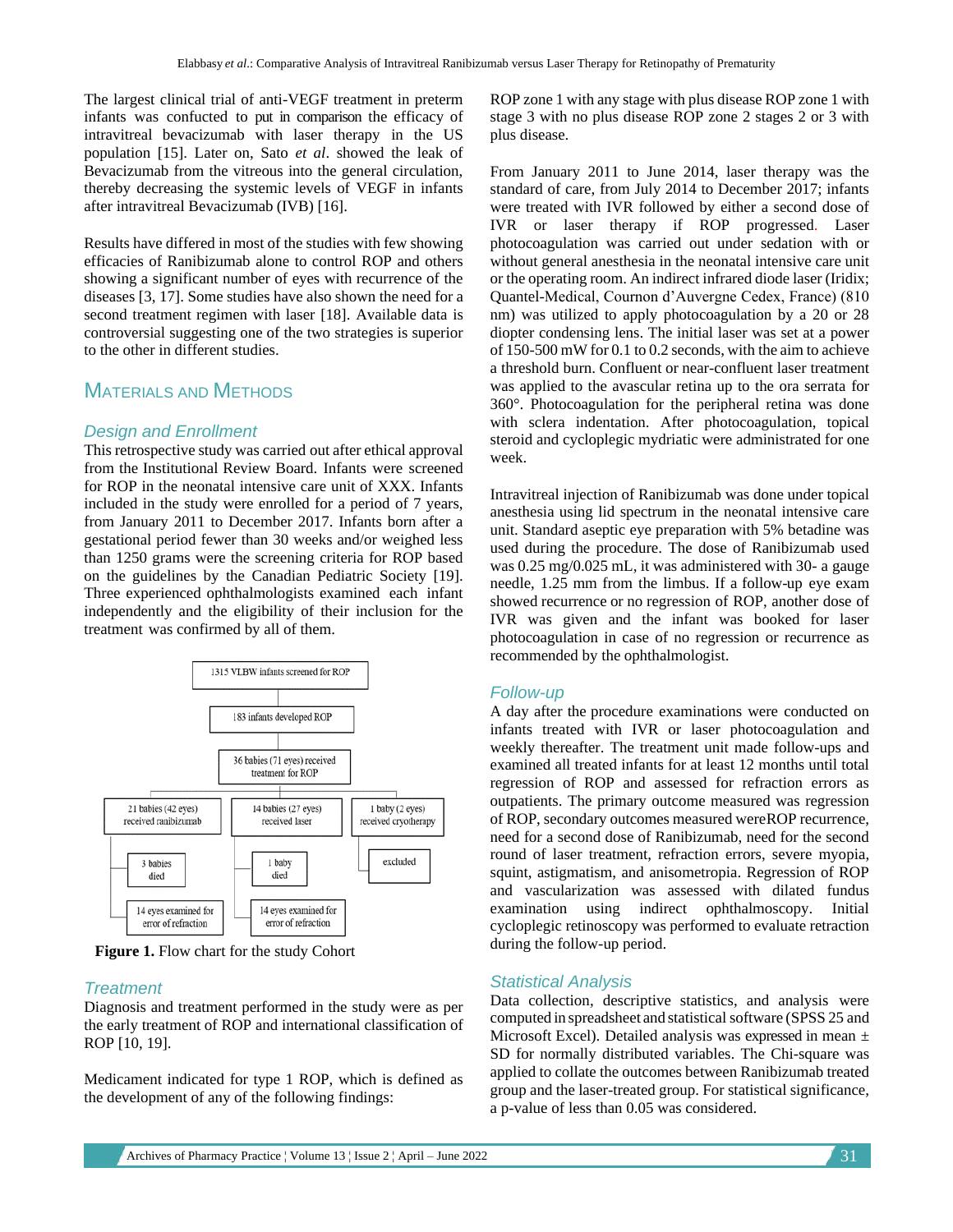The largest clinical trial of anti-VEGF treatment in preterm infants was confucted to put in comparison the efficacy of intravitreal bevacizumab with laser therapy in the US population [15]. Later on, Sato *et al*. showed the leak of Bevacizumab from the vitreous into the general circulation, thereby decreasing the systemic levels of VEGF in infants after intravitreal Bevacizumab (IVB) [16].

Results have differed in most of the studies with few showing efficacies of Ranibizumab alone to control ROP and others showing a significant number of eyes with recurrence of the diseases [3, 17]. Some studies have also shown the need for a second treatment regimen with laser [18]. Available data is controversial suggesting one of the two strategies is superior to the other in different studies.

# MATERIALS AND METHODS

## *Design and Enrollment*

This retrospective study was carried out after ethical approval from the Institutional Review Board. Infants were screened for ROP in the neonatal intensive care unit of XXX. Infants included in the study were enrolled for a period of 7 years, from January 2011 to December 2017. Infants born after a gestational period fewer than 30 weeks and/or weighed less than 1250 grams were the screening criteria for ROP based on the guidelines by the Canadian Pediatric Society [19]. Three experienced ophthalmologists examined each infant independently and the eligibility of their inclusion for the treatment was confirmed by all of them.



**Figure 1.** Flow chart for the study Cohort

### *Treatment*

Diagnosis and treatment performed in the study were as per the early treatment of ROP and international classification of ROP [10, 19].

Medicament indicated for type 1 ROP, which is defined as the development of any of the following findings:

ROP zone 1 with any stage with plus disease ROP zone 1 with stage 3 with no plus disease ROP zone 2 stages 2 or 3 with plus disease.

From January 2011 to June 2014, laser therapy was the standard of care, from July 2014 to December 2017; infants were treated with IVR followed by either a second dose of IVR or laser therapy if ROP progressed. Laser photocoagulation was carried out under sedation with or without general anesthesia in the neonatal intensive care unit or the operating room. An indirect infrared diode laser (Iridix; Quantel-Medical, Cournon d'Auvergne Cedex, France) (810 nm) was utilized to apply photocoagulation by a 20 or 28 diopter condensing lens. The initial laser was set at a power of 150-500 mW for 0.1 to 0.2 seconds, with the aim to achieve a threshold burn. Confluent or near-confluent laser treatment was applied to the avascular retina up to the ora serrata for 360°. Photocoagulation for the peripheral retina was done with sclera indentation. After photocoagulation, topical steroid and cycloplegic mydriatic were administrated for one week.

Intravitreal injection of Ranibizumab was done under topical anesthesia using lid spectrum in the neonatal intensive care unit. Standard aseptic eye preparation with 5% betadine was used during the procedure. The dose of Ranibizumab used was 0.25 mg/0.025 mL, it was administered with 30- a gauge needle, 1.25 mm from the limbus. If a follow-up eye exam showed recurrence or no regression of ROP, another dose of IVR was given and the infant was booked for laser photocoagulation in case of no regression or recurrence as recommended by the ophthalmologist.

# *Follow-up*

A day after the procedure examinations were conducted on infants treated with IVR or laser photocoagulation and weekly thereafter. The treatment unit made follow-ups and examined all treated infants for at least 12 months until total regression of ROP and assessed for refraction errors as outpatients. The primary outcome measured was regression of ROP, secondary outcomes measured wereROP recurrence, need for a second dose of Ranibizumab, need for the second round of laser treatment, refraction errors, severe myopia, squint, astigmatism, and anisometropia. Regression of ROP and vascularization was assessed with dilated fundus examination using indirect ophthalmoscopy. Initial cycloplegic retinoscopy was performed to evaluate retraction during the follow-up period.

# *Statistical Analysis*

Data collection, descriptive statistics, and analysis were computed in spreadsheet and statistical software (SPSS 25 and Microsoft Excel). Detailed analysis was expressed in mean ± SD for normally distributed variables. The Chi-square was applied to collate the outcomes between Ranibizumab treated group and the laser-treated group. For statistical significance, a p-value of less than 0.05 was considered.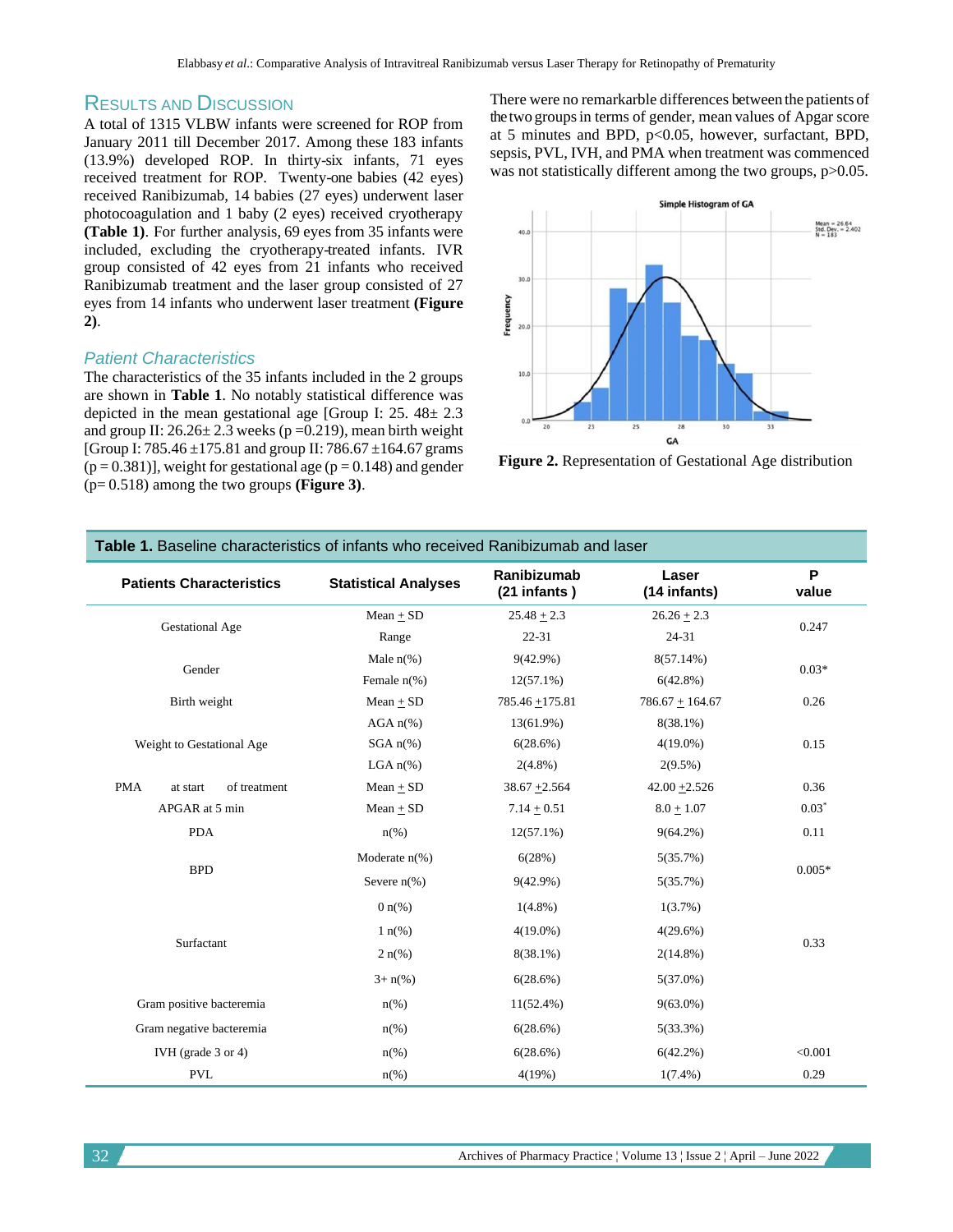# RESULTS AND DISCUSSION

A total of 1315 VLBW infants were screened for ROP from January 2011 till December 2017. Among these 183 infants (13.9%) developed ROP. In thirty-six infants, 71 eyes received treatment for ROP. Twenty-one babies (42 eyes) received Ranibizumab, 14 babies (27 eyes) underwent laser photocoagulation and 1 baby (2 eyes) received cryotherapy **(Table 1)**. For further analysis, 69 eyes from 35 infants were included, excluding the cryotherapy-treated infants. IVR group consisted of 42 eyes from 21 infants who received Ranibizumab treatment and the laser group consisted of 27 eyes from 14 infants who underwent laser treatment **(Figure 2)**.

## *Patient Characteristics*

The characteristics of the 35 infants included in the 2 groups are shown in **Table 1**. No notably statistical difference was depicted in the mean gestational age [Group I: 25. 48± 2.3 and group II:  $26.26 \pm 2.3$  weeks (p =0.219), mean birth weight [Group I: 785.46  $\pm$ 175.81 and group II: 786.67  $\pm$ 164.67 grams  $(p = 0.381)$ ], weight for gestational age  $(p = 0.148)$  and gender (p= 0.518) among the two groups **(Figure 3)**.

There were no remarkarble differences between the patients of the two groups in terms of gender, mean values of Apgar score at 5 minutes and BPD, p<0.05, however, surfactant, BPD, sepsis, PVL, IVH, and PMA when treatment was commenced was not statistically different among the two groups, p>0.05.



**Figure 2.** Representation of Gestational Age distribution

| <b>Patients Characteristics</b>        | <b>Statistical Analyses</b> | Ranibizumab<br>(21 infants) | Laser<br>(14 infants) | P<br>value |
|----------------------------------------|-----------------------------|-----------------------------|-----------------------|------------|
| <b>Gestational Age</b>                 | $Mean + SD$                 | $25.48 + 2.3$               | $26.26 \pm 2.3$       | 0.247      |
|                                        | Range                       | $22 - 31$                   | 24-31                 |            |
| Gender                                 | Male $n\%$ )                | $9(42.9\%)$                 | 8(57.14%)             | $0.03*$    |
|                                        | Female $n$ <sup>(%)</sup>   | $12(57.1\%)$                | $6(42.8\%)$           |            |
| Birth weight                           | $Mean + SD$                 | $785.46 + 175.81$           | $786.67 + 164.67$     | 0.26       |
| Weight to Gestational Age              | $AGA n(*)$                  | 13(61.9%)                   | $8(38.1\%)$           |            |
|                                        | $SGA n(\%)$                 | 6(28.6%)                    | $4(19.0\%)$           | 0.15       |
|                                        | LGA $n\%$ )                 | $2(4.8\%)$                  | $2(9.5\%)$            |            |
| <b>PMA</b><br>of treatment<br>at start | $Mean + SD$                 | $38.67 + 2.564$             | $42.00 + 2.526$       | 0.36       |
| APGAR at 5 min                         | $Mean + SD$                 | $7.14 + 0.51$               | $8.0 + 1.07$          | $0.03*$    |
| <b>PDA</b>                             | $n\frac{\omega}{6}$         | $12(57.1\%)$                | $9(64.2\%)$           | 0.11       |
| <b>BPD</b>                             | Moderate $n$ <sup>(%)</sup> | 6(28%)                      | 5(35.7%)              | $0.005*$   |
|                                        | Severe $n(\%)$              | $9(42.9\%)$                 | 5(35.7%)              |            |
| Surfactant                             | $0 n\frac{6}{6}$            | $1(4.8\%)$                  | 1(3.7%)               |            |
|                                        | $1 \text{ n}(\%)$           | $4(19.0\%)$                 | 4(29.6%)              | 0.33       |
|                                        | $2 n\frac{9}{6}$            | $8(38.1\%)$                 | $2(14.8\%)$           |            |
|                                        | $3 + n\frac{6}{6}$          | 6(28.6%)                    | $5(37.0\%)$           |            |
| Gram positive bacteremia               | $n\frac{\omega}{6}$         | $11(52.4\%)$                | $9(63.0\%)$           |            |
| Gram negative bacteremia               | $n\frac{\omega}{6}$         | 6(28.6%)                    | 5(33.3%)              |            |
| IVH (grade $3$ or $4$ )                | $n\frac{\omega}{6}$         | 6(28.6%)                    | $6(42.2\%)$           | < 0.001    |
| <b>PVL</b>                             | $n\frac{6}{6}$              | 4(19%)                      | $1(7.4\%)$            | 0.29       |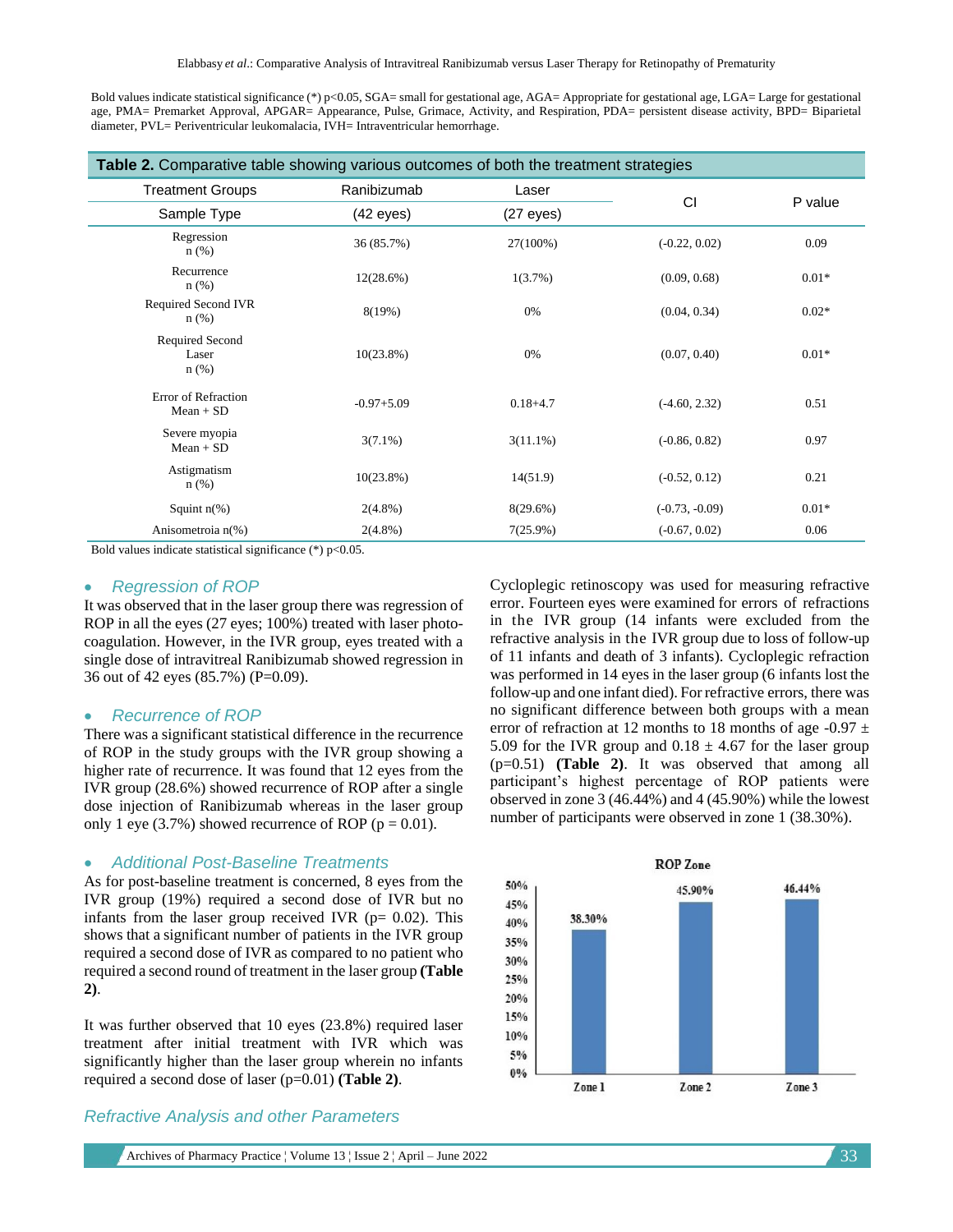Bold values indicate statistical significance (\*) p<0.05, SGA= small for gestational age, AGA= Appropriate for gestational age, LGA= Large for gestational age, PMA= Premarket Approval, APGAR= Appearance, Pulse, Grimace, Activity, and Respiration, PDA= persistent disease activity, BPD= Biparietal diameter, PVL= Periventricular leukomalacia, IVH= Intraventricular hemorrhage.

| Table 2. Comparative table showing various outcomes of both the treatment strategies |                     |                     |                  |         |  |  |  |
|--------------------------------------------------------------------------------------|---------------------|---------------------|------------------|---------|--|--|--|
| <b>Treatment Groups</b>                                                              | Ranibizumab         | Laser               | CI               |         |  |  |  |
| Sample Type                                                                          | $(42 \text{ eyes})$ | $(27 \text{ eyes})$ |                  | P value |  |  |  |
| Regression<br>$n$ (%)                                                                | 36 (85.7%)          | 27(100%)            | $(-0.22, 0.02)$  | 0.09    |  |  |  |
| Recurrence<br>$n$ (%)                                                                | 12(28.6%)           | $1(3.7\%)$          | (0.09, 0.68)     | $0.01*$ |  |  |  |
| Required Second IVR<br>$n$ (%)                                                       | 8(19%)              | 0%                  | (0.04, 0.34)     | $0.02*$ |  |  |  |
| Required Second<br>Laser<br>$n$ (%)                                                  | $10(23.8\%)$        | 0%                  | (0.07, 0.40)     | $0.01*$ |  |  |  |
| Error of Refraction<br>$Mean + SD$                                                   | $-0.97 + 5.09$      | $0.18 + 4.7$        | $(-4.60, 2.32)$  | 0.51    |  |  |  |
| Severe myopia<br>$Mean + SD$                                                         | $3(7.1\%)$          | $3(11.1\%)$         | $(-0.86, 0.82)$  | 0.97    |  |  |  |
| Astigmatism<br>$n$ (%)                                                               | $10(23.8\%)$        | 14(51.9)            | $(-0.52, 0.12)$  | 0.21    |  |  |  |
| Squint $n(\%)$                                                                       | $2(4.8\%)$          | 8(29.6%)            | $(-0.73, -0.09)$ | $0.01*$ |  |  |  |
| Anisometroia n(%)                                                                    | $2(4.8\%)$          | 7(25.9%)            | $(-0.67, 0.02)$  | 0.06    |  |  |  |

Bold values indicate statistical significance  $(*)$  p<0.05.

#### • *Regression of ROP*

It was observed that in the laser group there was regression of ROP in all the eyes (27 eyes; 100%) treated with laser photocoagulation. However, in the IVR group, eyes treated with a single dose of intravitreal Ranibizumab showed regression in 36 out of 42 eyes (85.7%) (P=0.09).

#### • *Recurrence of ROP*

There was a significant statistical difference in the recurrence of ROP in the study groups with the IVR group showing a higher rate of recurrence. It was found that 12 eyes from the IVR group (28.6%) showed recurrence of ROP after a single dose injection of Ranibizumab whereas in the laser group only 1 eye (3.7%) showed recurrence of ROP ( $p = 0.01$ ).

#### • *Additional Post-Baseline Treatments*

As for post-baseline treatment is concerned, 8 eyes from the IVR group (19%) required a second dose of IVR but no infants from the laser group received IVR ( $p= 0.02$ ). This shows that a significant number of patients in the IVR group required a second dose of IVR as compared to no patient who required a second round of treatment in the laser group **(Table 2)**.

It was further observed that 10 eyes (23.8%) required laser treatment after initial treatment with IVR which was significantly higher than the laser group wherein no infants required a second dose of laser (p=0.01) **(Table 2)**.

#### *Refractive Analysis and other Parameters*

Archives of Pharmacy Practice  $\vert$  Volume 13  $\vert$  Issue 2  $\vert$  April – June 2022 33

Cycloplegic retinoscopy was used for measuring refractive error. Fourteen eyes were examined for errors of refractions in the IVR group (14 infants were excluded from the refractive analysis in the IVR group due to loss of follow-up of 11 infants and death of 3 infants). Cycloplegic refraction was performed in 14 eyes in the laser group (6 infants lost the follow-up and one infant died). For refractive errors, there was no significant difference between both groups with a mean error of refraction at 12 months to 18 months of age -0.97  $\pm$ 5.09 for the IVR group and  $0.18 \pm 4.67$  for the laser group (p=0.51) **(Table 2)**. It was observed that among all participant's highest percentage of ROP patients were observed in zone 3 (46.44%) and 4 (45.90%) while the lowest number of participants were observed in zone 1 (38.30%).

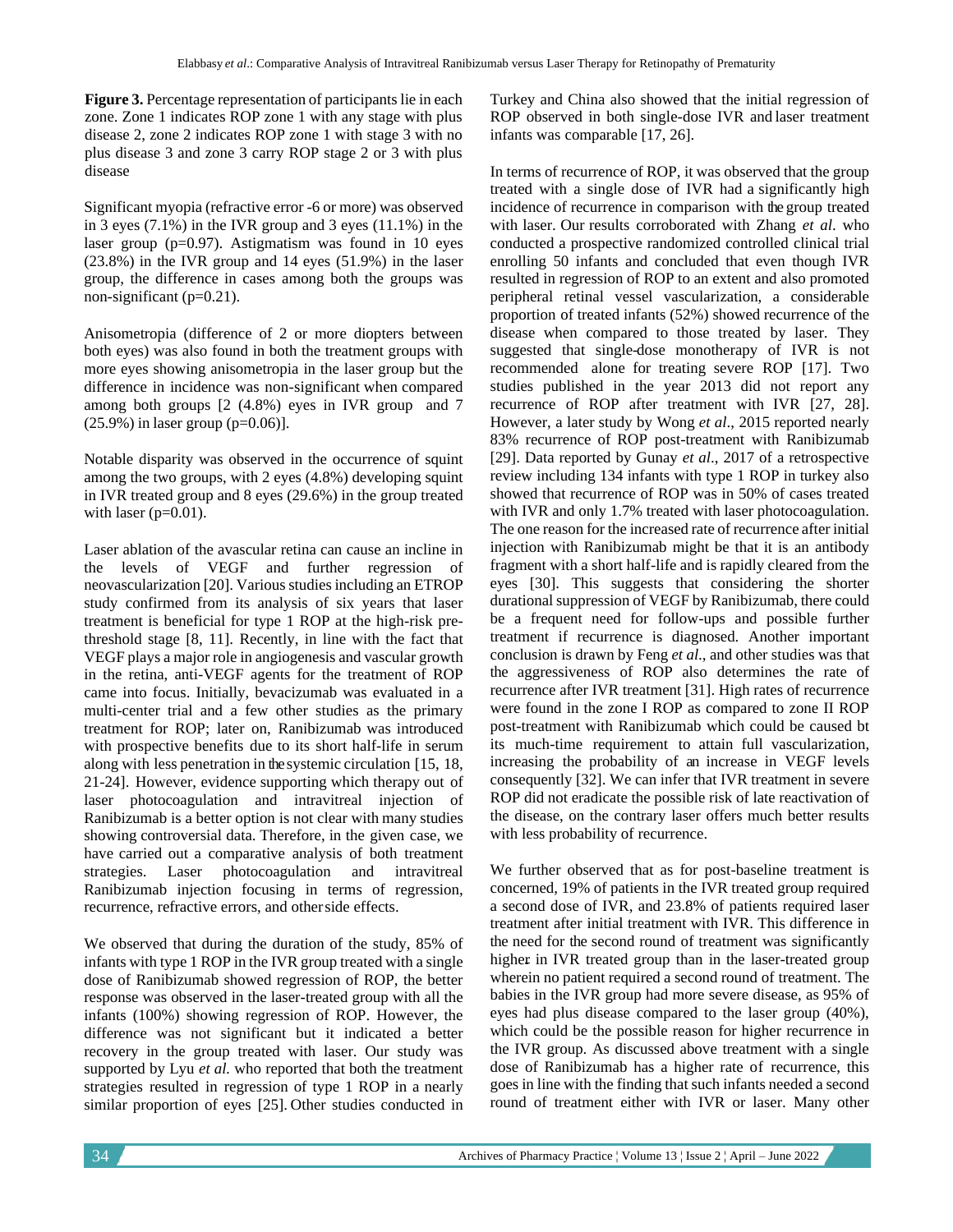**Figure 3.** Percentage representation of participants lie in each zone. Zone 1 indicates ROP zone 1 with any stage with plus disease 2, zone 2 indicates ROP zone 1 with stage 3 with no plus disease 3 and zone 3 carry ROP stage 2 or 3 with plus disease

Significant myopia (refractive error -6 or more) was observed in 3 eyes (7.1%) in the IVR group and 3 eyes (11.1%) in the laser group (p=0.97). Astigmatism was found in 10 eyes (23.8%) in the IVR group and 14 eyes (51.9%) in the laser group, the difference in cases among both the groups was non-significant (p=0.21).

Anisometropia (difference of 2 or more diopters between both eyes) was also found in both the treatment groups with more eyes showing anisometropia in the laser group but the difference in incidence was non-significant when compared among both groups [2 (4.8%) eyes in IVR group and 7  $(25.9\%)$  in laser group (p=0.06)].

Notable disparity was observed in the occurrence of squint among the two groups, with 2 eyes (4.8%) developing squint in IVR treated group and 8 eyes (29.6%) in the group treated with laser  $(p=0.01)$ .

Laser ablation of the avascular retina can cause an incline in the levels of VEGF and further regression of neovascularization [20]. Various studies including an ETROP study confirmed from its analysis of six years that laser treatment is beneficial for type 1 ROP at the high-risk prethreshold stage [8, 11]. Recently, in line with the fact that VEGF plays a major role in angiogenesis and vascular growth in the retina, anti-VEGF agents for the treatment of ROP came into focus. Initially, bevacizumab was evaluated in a multi-center trial and a few other studies as the primary treatment for ROP; later on, Ranibizumab was introduced with prospective benefits due to its short half-life in serum along with less penetration in the systemic circulation [15, 18, 21-24]. However, evidence supporting which therapy out of laser photocoagulation and intravitreal injection of Ranibizumab is a better option is not clear with many studies showing controversial data. Therefore, in the given case, we have carried out a comparative analysis of both treatment strategies. Laser photocoagulation and intravitreal Ranibizumab injection focusing in terms of regression, recurrence, refractive errors, and otherside effects.

We observed that during the duration of the study, 85% of infants with type 1 ROP in the IVR group treated with a single dose of Ranibizumab showed regression of ROP, the better response was observed in the laser-treated group with all the infants (100%) showing regression of ROP. However, the difference was not significant but it indicated a better recovery in the group treated with laser. Our study was supported by Lyu *et al.* who reported that both the treatment strategies resulted in regression of type 1 ROP in a nearly similar proportion of eyes [25]. Other studies conducted in Turkey and China also showed that the initial regression of ROP observed in both single-dose IVR and laser treatment infants was comparable [17, 26].

In terms of recurrence of ROP, it was observed that the group treated with a single dose of IVR had a significantly high incidence of recurrence in comparison with the group treated with laser. Our results corroborated with Zhang *et al*. who conducted a prospective randomized controlled clinical trial enrolling 50 infants and concluded that even though IVR resulted in regression of ROP to an extent and also promoted peripheral retinal vessel vascularization, a considerable proportion of treated infants (52%) showed recurrence of the disease when compared to those treated by laser. They suggested that single-dose monotherapy of IVR is not recommended alone for treating severe ROP [17]. Two studies published in the year 2013 did not report any recurrence of ROP after treatment with IVR [27, 28]. However, a later study by Wong *et al*., 2015 reported nearly 83% recurrence of ROP post-treatment with Ranibizumab [29]. Data reported by Gunay *et al*., 2017 of a retrospective review including 134 infants with type 1 ROP in turkey also showed that recurrence of ROP was in 50% of cases treated with IVR and only 1.7% treated with laser photocoagulation. The one reason for the increased rate of recurrence after initial injection with Ranibizumab might be that it is an antibody fragment with a short half-life and is rapidly cleared from the eyes [30]. This suggests that considering the shorter durational suppression of VEGF by Ranibizumab, there could be a frequent need for follow-ups and possible further treatment if recurrence is diagnosed. Another important conclusion is drawn by Feng *et al*., and other studies was that the aggressiveness of ROP also determines the rate of recurrence after IVR treatment [31]. High rates of recurrence were found in the zone I ROP as compared to zone II ROP post-treatment with Ranibizumab which could be caused bt its much-time requirement to attain full vascularization, increasing the probability of an increase in VEGF levels consequently [32]. We can infer that IVR treatment in severe ROP did not eradicate the possible risk of late reactivation of the disease, on the contrary laser offers much better results with less probability of recurrence.

We further observed that as for post-baseline treatment is concerned, 19% of patients in the IVR treated group required a second dose of IVR, and 23.8% of patients required laser treatment after initial treatment with IVR. This difference in the need for the second round of treatment was significantly higher in IVR treated group than in the laser-treated group wherein no patient required a second round of treatment. The babies in the IVR group had more severe disease, as 95% of eyes had plus disease compared to the laser group (40%), which could be the possible reason for higher recurrence in the IVR group. As discussed above treatment with a single dose of Ranibizumab has a higher rate of recurrence, this goes in line with the finding that such infants needed a second round of treatment either with IVR or laser. Many other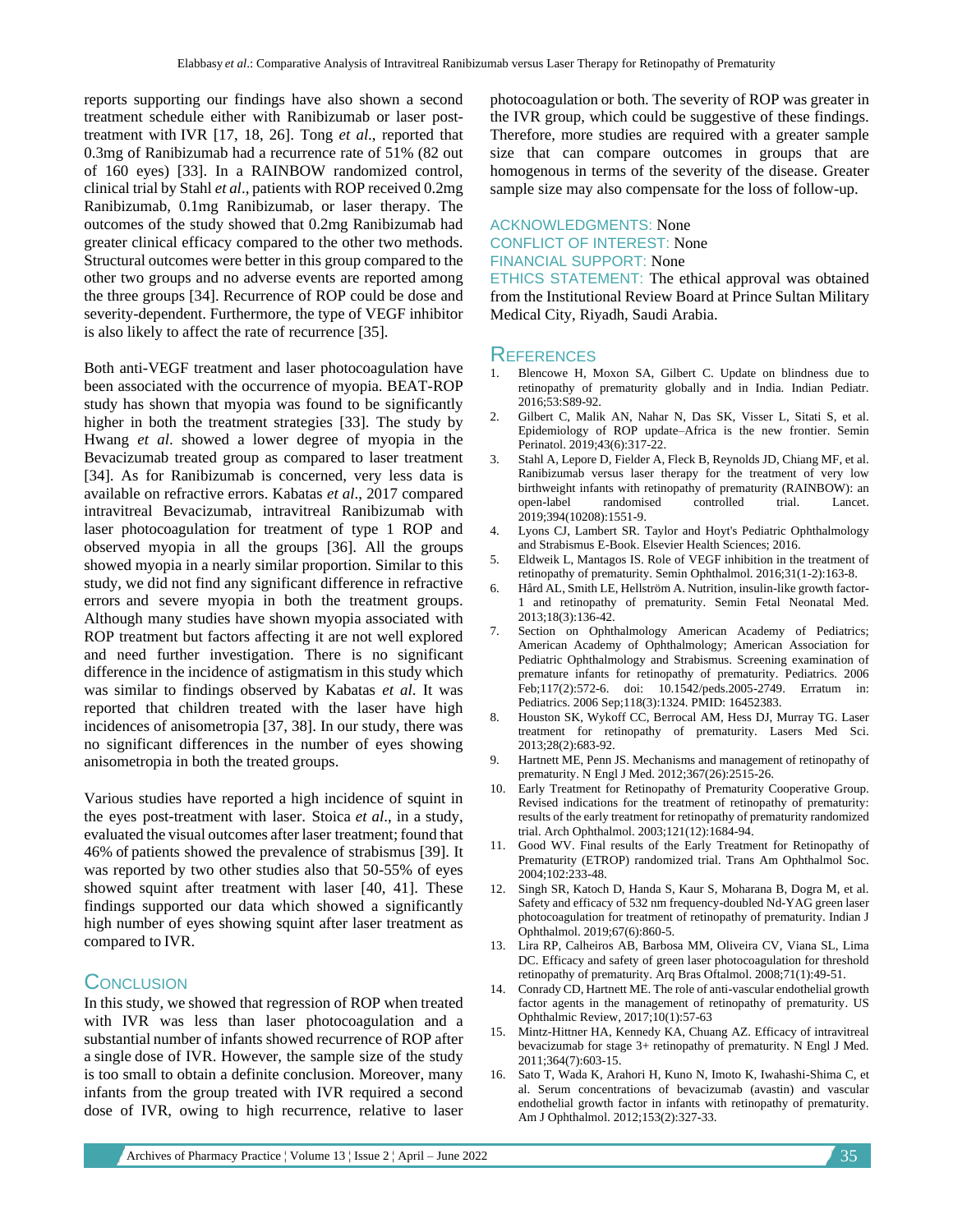reports supporting our findings have also shown a second treatment schedule either with Ranibizumab or laser posttreatment with IVR [17, 18, 26]. Tong *et al*., reported that 0.3mg of Ranibizumab had a recurrence rate of 51% (82 out of 160 eyes) [33]. In a RAINBOW randomized control, clinical trial by Stahl *et al*., patients with ROP received 0.2mg Ranibizumab, 0.1mg Ranibizumab, or laser therapy. The outcomes of the study showed that 0.2mg Ranibizumab had greater clinical efficacy compared to the other two methods. Structural outcomes were better in this group compared to the other two groups and no adverse events are reported among the three groups [34]. Recurrence of ROP could be dose and severity-dependent. Furthermore, the type of VEGF inhibitor is also likely to affect the rate of recurrence [35].

Both anti-VEGF treatment and laser photocoagulation have been associated with the occurrence of myopia. BEAT-ROP study has shown that myopia was found to be significantly higher in both the treatment strategies [33]. The study by Hwang *et al*. showed a lower degree of myopia in the Bevacizumab treated group as compared to laser treatment [34]. As for Ranibizumab is concerned, very less data is available on refractive errors. Kabatas *et al*., 2017 compared intravitreal Bevacizumab, intravitreal Ranibizumab with laser photocoagulation for treatment of type 1 ROP and observed myopia in all the groups [36]. All the groups showed myopia in a nearly similar proportion. Similar to this study, we did not find any significant difference in refractive errors and severe myopia in both the treatment groups. Although many studies have shown myopia associated with ROP treatment but factors affecting it are not well explored and need further investigation. There is no significant difference in the incidence of astigmatism in this study which was similar to findings observed by Kabatas *et al*. It was reported that children treated with the laser have high incidences of anisometropia [37, 38]. In our study, there was no significant differences in the number of eyes showing anisometropia in both the treated groups.

Various studies have reported a high incidence of squint in the eyes post-treatment with laser. Stoica *et al*., in a study, evaluated the visual outcomes after laser treatment; found that 46% of patients showed the prevalence of strabismus [39]. It was reported by two other studies also that 50-55% of eyes showed squint after treatment with laser [40, 41]. These findings supported our data which showed a significantly high number of eyes showing squint after laser treatment as compared to IVR.

# **CONCLUSION**

In this study, we showed that regression of ROP when treated with IVR was less than laser photocoagulation and a substantial number of infants showed recurrence of ROP after a single dose of IVR. However, the sample size of the study is too small to obtain a definite conclusion. Moreover, many infants from the group treated with IVR required a second dose of IVR, owing to high recurrence, relative to laser

photocoagulation or both. The severity of ROP was greater in the IVR group, which could be suggestive of these findings. Therefore, more studies are required with a greater sample size that can compare outcomes in groups that are homogenous in terms of the severity of the disease. Greater sample size may also compensate for the loss of follow-up.

# ACKNOWLEDGMENTS: None CONFLICT OF INTEREST: None FINANCIAL SUPPORT: None

ETHICS STATEMENT: The ethical approval was obtained from the Institutional Review Board at Prince Sultan Military Medical City, Riyadh, Saudi Arabia.

### **REFERENCES**

- 1. Blencowe H, Moxon SA, Gilbert C. Update on blindness due to retinopathy of prematurity globally and in India. Indian Pediatr. 2016;53:S89-92.
- 2. Gilbert C, Malik AN, Nahar N, Das SK, Visser L, Sitati S, et al. Epidemiology of ROP update–Africa is the new frontier. Semin Perinatol. 2019;43(6):317-22.
- 3. Stahl A, Lepore D, Fielder A, Fleck B, Reynolds JD, Chiang MF, et al. Ranibizumab versus laser therapy for the treatment of very low birthweight infants with retinopathy of prematurity (RAINBOW): an open-label randomised controlled trial. Lancet. 2019;394(10208):1551-9.
- 4. Lyons CJ, Lambert SR. Taylor and Hoyt's Pediatric Ophthalmology and Strabismus E-Book. Elsevier Health Sciences; 2016.
- 5. Eldweik L, Mantagos IS. Role of VEGF inhibition in the treatment of retinopathy of prematurity. Semin Ophthalmol. 2016;31(1-2):163-8.
- 6. Hård AL, Smith LE, Hellström A. Nutrition, insulin-like growth factor-1 and retinopathy of prematurity. Semin Fetal Neonatal Med. 2013;18(3):136-42.
- Section on Ophthalmology American Academy of Pediatrics; American Academy of Ophthalmology; American Association for Pediatric Ophthalmology and Strabismus. Screening examination of premature infants for retinopathy of prematurity. Pediatrics. 2006 Feb;117(2):572-6. doi: 10.1542/peds.2005-2749. Erratum in: Pediatrics. 2006 Sep;118(3):1324. PMID: 16452383.
- 8. Houston SK, Wykoff CC, Berrocal AM, Hess DJ, Murray TG. Laser treatment for retinopathy of prematurity. Lasers Med Sci. 2013;28(2):683-92.
- 9. Hartnett ME, Penn JS. Mechanisms and management of retinopathy of prematurity. N Engl J Med. 2012;367(26):2515-26.
- 10. Early Treatment for Retinopathy of Prematurity Cooperative Group. Revised indications for the treatment of retinopathy of prematurity: results of the early treatment for retinopathy of prematurity randomized trial. Arch Ophthalmol. 2003;121(12):1684-94.
- 11. Good WV. Final results of the Early Treatment for Retinopathy of Prematurity (ETROP) randomized trial. Trans Am Ophthalmol Soc. 2004;102:233-48.
- 12. Singh SR, Katoch D, Handa S, Kaur S, Moharana B, Dogra M, et al. Safety and efficacy of 532 nm frequency-doubled Nd-YAG green laser photocoagulation for treatment of retinopathy of prematurity. Indian J Ophthalmol. 2019;67(6):860-5.
- 13. Lira RP, Calheiros AB, Barbosa MM, Oliveira CV, Viana SL, Lima DC. Efficacy and safety of green laser photocoagulation for threshold retinopathy of prematurity. Arq Bras Oftalmol. 2008;71(1):49-51.
- 14. Conrady CD, Hartnett ME. The role of anti-vascular endothelial growth factor agents in the management of retinopathy of prematurity. US Ophthalmic Review, 2017;10(1):57-63
- 15. Mintz-Hittner HA, Kennedy KA, Chuang AZ. Efficacy of intravitreal bevacizumab for stage 3+ retinopathy of prematurity. N Engl J Med. 2011;364(7):603-15.
- 16. Sato T, Wada K, Arahori H, Kuno N, Imoto K, Iwahashi-Shima C, et al. Serum concentrations of bevacizumab (avastin) and vascular endothelial growth factor in infants with retinopathy of prematurity. Am J Ophthalmol. 2012;153(2):327-33.